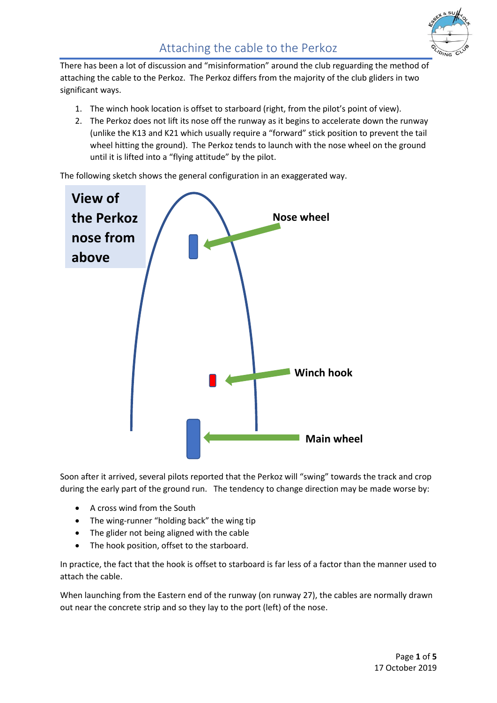There has been a lot of discussion and "misinformation" around the club reguarding the method of attaching the cable to the Perkoz. The Perkoz differs from the majority of the club gliders in two significant ways.

- 1. The winch hook location is offset to starboard (right, from the pilot's point of view).
- 2. The Perkoz does not lift its nose off the runway as it begins to accelerate down the runway (unlike the K13 and K21 which usually require a "forward" stick position to prevent the tail wheel hitting the ground). The Perkoz tends to launch with the nose wheel on the ground until it is lifted into a "flying attitude" by the pilot.

The following sketch shows the general configuration in an exaggerated way.



Soon after it arrived, several pilots reported that the Perkoz will "swing" towards the track and crop during the early part of the ground run. The tendency to change direction may be made worse by:

- A cross wind from the South
- The wing-runner "holding back" the wing tip
- The glider not being aligned with the cable
- The hook position, offset to the starboard.

In practice, the fact that the hook is offset to starboard is far less of a factor than the manner used to attach the cable.

When launching from the Eastern end of the runway (on runway 27), the cables are normally drawn out near the concrete strip and so they lay to the port (left) of the nose.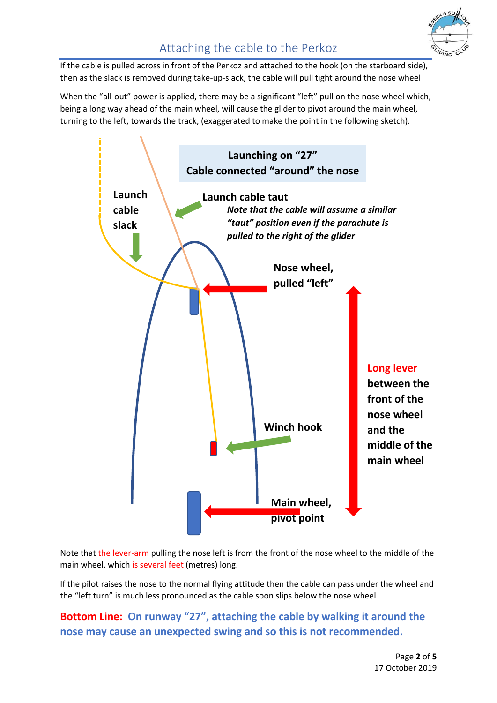

If the cable is pulled across in front of the Perkoz and attached to the hook (on the starboard side), then as the slack is removed during take-up-slack, the cable will pull tight around the nose wheel

When the "all-out" power is applied, there may be a significant "left" pull on the nose wheel which, being a long way ahead of the main wheel, will cause the glider to pivot around the main wheel, turning to the left, towards the track, (exaggerated to make the point in the following sketch).



Note that the lever-arm pulling the nose left is from the front of the nose wheel to the middle of the main wheel, which is several feet (metres) long.

If the pilot raises the nose to the normal flying attitude then the cable can pass under the wheel and the "left turn" is much less pronounced as the cable soon slips below the nose wheel

**Bottom Line: On runway "27", attaching the cable by walking it around the nose may cause an unexpected swing and so this is not recommended.**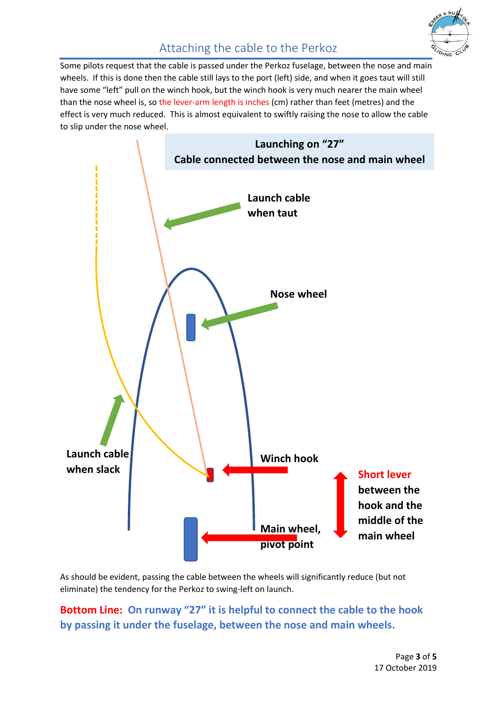

## Attaching the cable to the Perkoz

Some pilots request that the cable is passed under the Perkoz fuselage, between the nose and main wheels. If this is done then the cable still lays to the port (left) side, and when it goes taut will still have some "left" pull on the winch hook, but the winch hook is very much nearer the main wheel than the nose wheel is, so the lever-arm length is inches (cm) rather than feet (metres) and the effect is very much reduced. This is almost equivalent to swiftly raising the nose to allow the cable to slip under the nose wheel.



As should be evident, passing the cable between the wheels will significantly reduce (but not eliminate) the tendency for the Perkoz to swing-left on launch.

**Bottom Line: On runway "27" it is helpful to connect the cable to the hook by passing it under the fuselage, between the nose and main wheels.**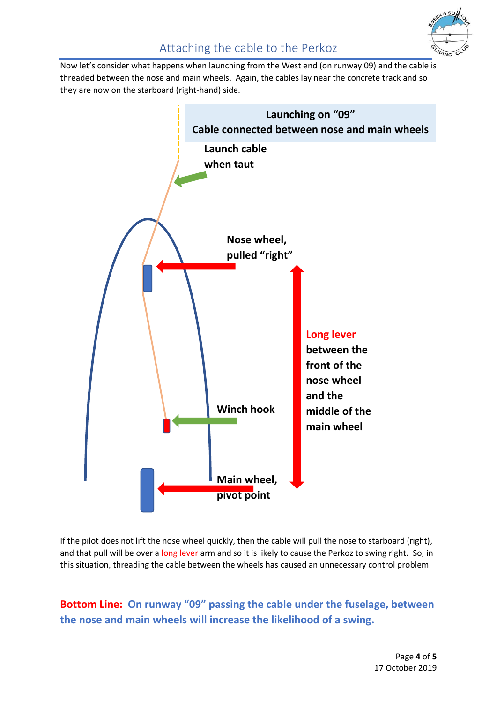

## Attaching the cable to the Perkoz

Now let's consider what happens when launching from the West end (on runway 09) and the cable is threaded between the nose and main wheels. Again, the cables lay near the concrete track and so they are now on the starboard (right-hand) side.



If the pilot does not lift the nose wheel quickly, then the cable will pull the nose to starboard (right), and that pull will be over a long lever arm and so it is likely to cause the Perkoz to swing right. So, in this situation, threading the cable between the wheels has caused an unnecessary control problem.

**Bottom Line: On runway "09" passing the cable under the fuselage, between the nose and main wheels will increase the likelihood of a swing.**